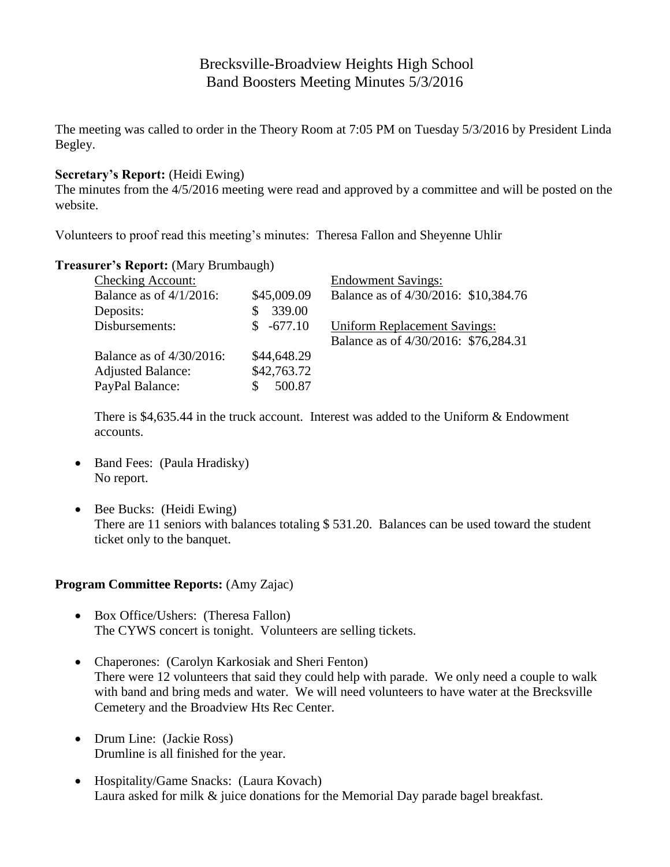# Brecksville-Broadview Heights High School Band Boosters Meeting Minutes 5/3/2016

The meeting was called to order in the Theory Room at 7:05 PM on Tuesday 5/3/2016 by President Linda Begley.

## **Secretary's Report:** (Heidi Ewing)

The minutes from the 4/5/2016 meeting were read and approved by a committee and will be posted on the website.

Volunteers to proof read this meeting's minutes: Theresa Fallon and Sheyenne Uhlir

## **Treasurer's Report:** (Mary Brumbaugh)

| <b>Checking Account:</b>    |                 | <b>Endowment Savings:</b>            |
|-----------------------------|-----------------|--------------------------------------|
| Balance as of $4/1/2016$ :  | \$45,009.09     | Balance as of 4/30/2016: \$10,384.76 |
| Deposits:                   | 339.00          |                                      |
| Disbursements:              | $-677.10$<br>S. | <b>Uniform Replacement Savings:</b>  |
|                             |                 | Balance as of 4/30/2016: \$76,284.31 |
| Balance as of $4/30/2016$ : | \$44,648.29     |                                      |
| <b>Adjusted Balance:</b>    | \$42,763.72     |                                      |
| PayPal Balance:             | 500.87          |                                      |

There is \$4,635.44 in the truck account. Interest was added to the Uniform & Endowment accounts.

- Band Fees: (Paula Hradisky) No report.
- $\bullet$  Bee Bucks: (Heidi Ewing) There are 11 seniors with balances totaling \$531.20. Balances can be used toward the student ticket only to the banquet.

#### **Program Committee Reports:** (Amy Zajac)

- Box Office/Ushers: (Theresa Fallon) The CYWS concert is tonight. Volunteers are selling tickets.
- Chaperones: (Carolyn Karkosiak and Sheri Fenton) There were 12 volunteers that said they could help with parade. We only need a couple to walk with band and bring meds and water. We will need volunteers to have water at the Brecksville Cemetery and the Broadview Hts Rec Center.
- Drum Line: (Jackie Ross) Drumline is all finished for the year.
- Hospitality/Game Snacks: (Laura Kovach) Laura asked for milk & juice donations for the Memorial Day parade bagel breakfast.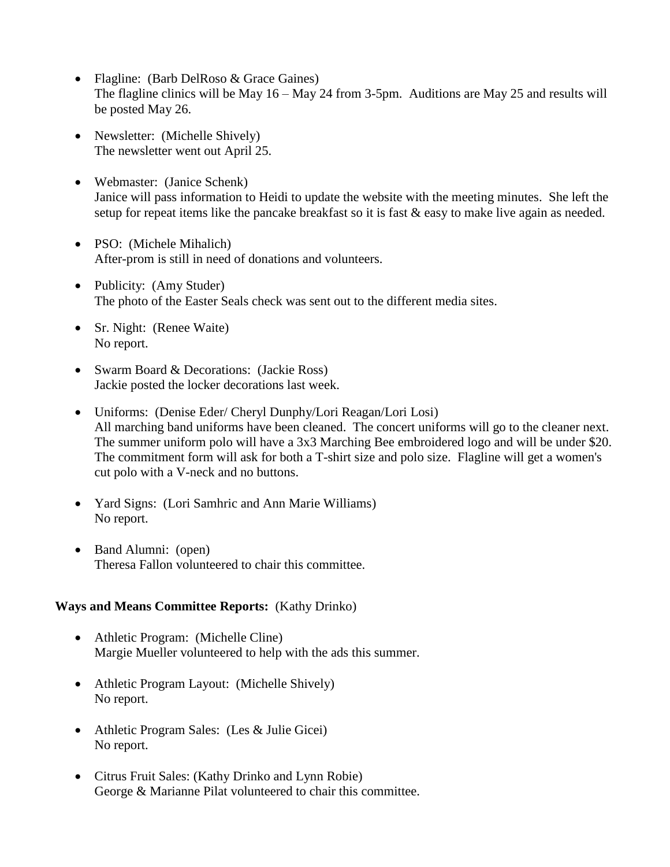- Flagline: (Barb DelRoso & Grace Gaines) The flagline clinics will be May 16 – May 24 from 3-5pm. Auditions are May 25 and results will be posted May 26.
- Newsletter: (Michelle Shively) The newsletter went out April 25.
- Webmaster: (Janice Schenk) Janice will pass information to Heidi to update the website with the meeting minutes. She left the setup for repeat items like the pancake breakfast so it is fast  $\&$  easy to make live again as needed.
- PSO: (Michele Mihalich) After-prom is still in need of donations and volunteers.
- Publicity: (Amy Studer) The photo of the Easter Seals check was sent out to the different media sites.
- Sr. Night: (Renee Waite) No report.
- Swarm Board & Decorations: (Jackie Ross) Jackie posted the locker decorations last week.
- Uniforms: (Denise Eder/ Cheryl Dunphy/Lori Reagan/Lori Losi) All marching band uniforms have been cleaned. The concert uniforms will go to the cleaner next. The summer uniform polo will have a 3x3 Marching Bee embroidered logo and will be under \$20. The commitment form will ask for both a T-shirt size and polo size. Flagline will get a women's cut polo with a V-neck and no buttons.
- Yard Signs: (Lori Samhric and Ann Marie Williams) No report.
- Band Alumni: (open) Theresa Fallon volunteered to chair this committee.

# **Ways and Means Committee Reports:** (Kathy Drinko)

- Athletic Program: (Michelle Cline) Margie Mueller volunteered to help with the ads this summer.
- Athletic Program Layout: (Michelle Shively) No report.
- Athletic Program Sales: (Les & Julie Gicei) No report.
- Citrus Fruit Sales: (Kathy Drinko and Lynn Robie) George & Marianne Pilat volunteered to chair this committee.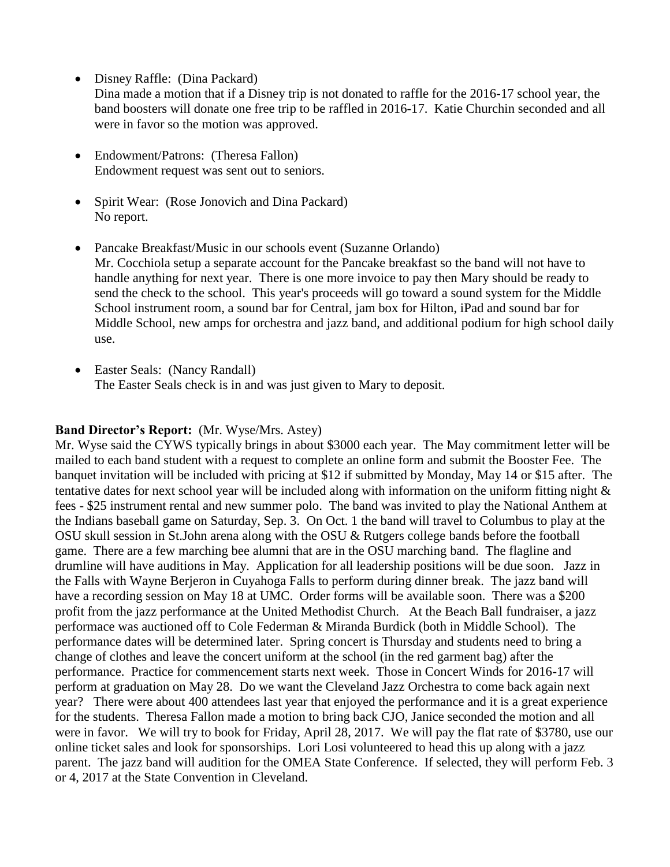• Disney Raffle: (Dina Packard)

Dina made a motion that if a Disney trip is not donated to raffle for the 2016-17 school year, the band boosters will donate one free trip to be raffled in 2016-17. Katie Churchin seconded and all were in favor so the motion was approved.

- Endowment/Patrons: (Theresa Fallon) Endowment request was sent out to seniors.
- Spirit Wear: (Rose Jonovich and Dina Packard) No report.
- Pancake Breakfast/Music in our schools event (Suzanne Orlando) Mr. Cocchiola setup a separate account for the Pancake breakfast so the band will not have to handle anything for next year. There is one more invoice to pay then Mary should be ready to send the check to the school. This year's proceeds will go toward a sound system for the Middle School instrument room, a sound bar for Central, jam box for Hilton, iPad and sound bar for Middle School, new amps for orchestra and jazz band, and additional podium for high school daily use.
- Easter Seals: (Nancy Randall) The Easter Seals check is in and was just given to Mary to deposit.

# **Band Director's Report:** (Mr. Wyse/Mrs. Astey)

Mr. Wyse said the CYWS typically brings in about \$3000 each year. The May commitment letter will be mailed to each band student with a request to complete an online form and submit the Booster Fee. The banquet invitation will be included with pricing at \$12 if submitted by Monday, May 14 or \$15 after. The tentative dates for next school year will be included along with information on the uniform fitting night & fees - \$25 instrument rental and new summer polo. The band was invited to play the National Anthem at the Indians baseball game on Saturday, Sep. 3. On Oct. 1 the band will travel to Columbus to play at the OSU skull session in St.John arena along with the OSU & Rutgers college bands before the football game. There are a few marching bee alumni that are in the OSU marching band. The flagline and drumline will have auditions in May. Application for all leadership positions will be due soon. Jazz in the Falls with Wayne Berjeron in Cuyahoga Falls to perform during dinner break. The jazz band will have a recording session on May 18 at UMC. Order forms will be available soon. There was a \$200 profit from the jazz performance at the United Methodist Church. At the Beach Ball fundraiser, a jazz performace was auctioned off to Cole Federman & Miranda Burdick (both in Middle School). The performance dates will be determined later. Spring concert is Thursday and students need to bring a change of clothes and leave the concert uniform at the school (in the red garment bag) after the performance. Practice for commencement starts next week. Those in Concert Winds for 2016-17 will perform at graduation on May 28. Do we want the Cleveland Jazz Orchestra to come back again next year? There were about 400 attendees last year that enjoyed the performance and it is a great experience for the students. Theresa Fallon made a motion to bring back CJO, Janice seconded the motion and all were in favor. We will try to book for Friday, April 28, 2017. We will pay the flat rate of \$3780, use our online ticket sales and look for sponsorships. Lori Losi volunteered to head this up along with a jazz parent. The jazz band will audition for the OMEA State Conference. If selected, they will perform Feb. 3 or 4, 2017 at the State Convention in Cleveland.